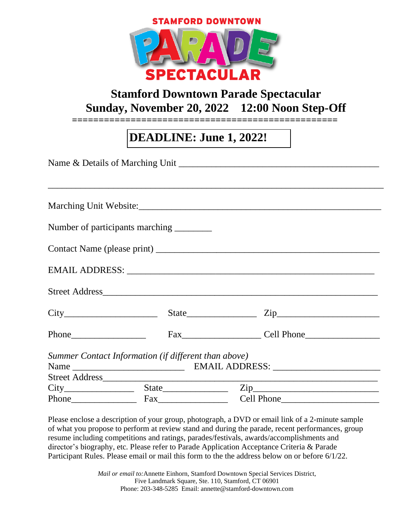



## **Stamford Downtown Parade Spectacular Sunday, November 20, 2022 12:00 Noon Step-Off**

**==================================================**

## **DEADLINE: June 1, 2022!**

|  | Number of participants marching _________            |                            |  |
|--|------------------------------------------------------|----------------------------|--|
|  |                                                      |                            |  |
|  |                                                      |                            |  |
|  |                                                      | Street Address             |  |
|  |                                                      | $City$ $State$ $Zip$ $Zip$ |  |
|  |                                                      |                            |  |
|  | Summer Contact Information (if different than above) |                            |  |
|  |                                                      |                            |  |
|  |                                                      |                            |  |
|  |                                                      |                            |  |
|  |                                                      |                            |  |

Please enclose a description of your group, photograph, a DVD or email link of a 2-minute sample of what you propose to perform at review stand and during the parade, recent performances, group resume including competitions and ratings, parades/festivals, awards/accomplishments and director's biography, etc. Please refer to Parade Application Acceptance Criteria & Parade Participant Rules. Please email or mail this form to the the address below on or before 6/1/22.

> *Mail or email to:*Annette Einhorn, Stamford Downtown Special Services District, Five Landmark Square, Ste. 110, Stamford, CT 06901 Phone: 203-348-5285 Email: annette@stamford-downtown.com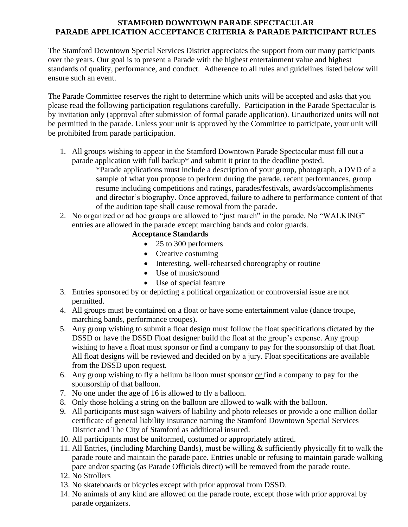## **STAMFORD DOWNTOWN PARADE SPECTACULAR PARADE APPLICATION ACCEPTANCE CRITERIA & PARADE PARTICIPANT RULES**

The Stamford Downtown Special Services District appreciates the support from our many participants over the years. Our goal is to present a Parade with the highest entertainment value and highest standards of quality, performance, and conduct. Adherence to all rules and guidelines listed below will ensure such an event.

The Parade Committee reserves the right to determine which units will be accepted and asks that you please read the following participation regulations carefully. Participation in the Parade Spectacular is by invitation only (approval after submission of formal parade application). Unauthorized units will not be permitted in the parade. Unless your unit is approved by the Committee to participate, your unit will be prohibited from parade participation.

1. All groups wishing to appear in the Stamford Downtown Parade Spectacular must fill out a parade application with full backup\* and submit it prior to the deadline posted.

\*Parade applications must include a description of your group, photograph, a DVD of a sample of what you propose to perform during the parade, recent performances, group resume including competitions and ratings, parades/festivals, awards/accomplishments and director's biography. Once approved, failure to adhere to performance content of that of the audition tape shall cause removal from the parade.

2. No organized or ad hoc groups are allowed to "just march" in the parade. No "WALKING" entries are allowed in the parade except marching bands and color guards.

## **Acceptance Standards**

- 25 to 300 performers
- Creative costuming
- Interesting, well-rehearsed choreography or routine
- Use of music/sound
- Use of special feature
- 3. Entries sponsored by or depicting a political organization or controversial issue are not permitted.
- 4. All groups must be contained on a float or have some entertainment value (dance troupe, marching bands, performance troupes).
- 5. Any group wishing to submit a float design must follow the float specifications dictated by the DSSD or have the DSSD Float designer build the float at the group's expense. Any group wishing to have a float must sponsor or find a company to pay for the sponsorship of that float. All float designs will be reviewed and decided on by a jury. Float specifications are available from the DSSD upon request.
- 6. Any group wishing to fly a helium balloon must sponsor or find a company to pay for the sponsorship of that balloon.
- 7. No one under the age of 16 is allowed to fly a balloon.
- 8. Only those holding a string on the balloon are allowed to walk with the balloon.
- 9. All participants must sign waivers of liability and photo releases or provide a one million dollar certificate of general liability insurance naming the Stamford Downtown Special Services District and The City of Stamford as additional insured.
- 10. All participants must be uniformed, costumed or appropriately attired.
- 11. All Entries, (including Marching Bands), must be willing & sufficiently physically fit to walk the parade route and maintain the parade pace. Entries unable or refusing to maintain parade walking pace and/or spacing (as Parade Officials direct) will be removed from the parade route.
- 12. No Strollers
- 13. No skateboards or bicycles except with prior approval from DSSD.
- 14. No animals of any kind are allowed on the parade route, except those with prior approval by parade organizers.